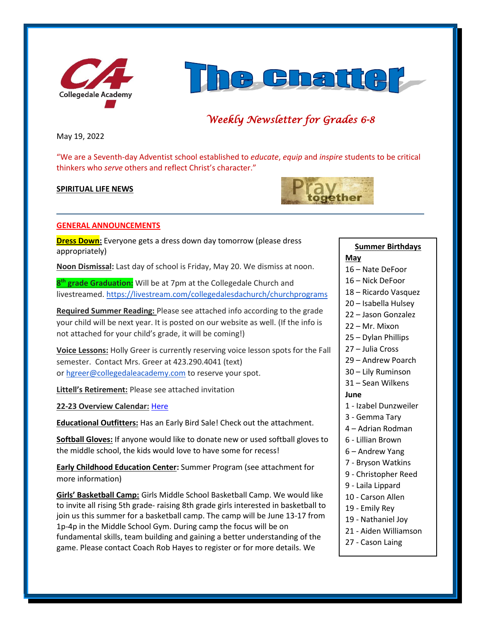



# *Weekly Newsletter for Grades 6-8*

May 19, 2022

"We are a Seventh-day Adventist school established to *educate*, *equip* and *inspire* students to be critical thinkers who *serve* others and reflect Christ's character."

#### **SPIRITUAL LIFE NEWS**



#### **GENERAL ANNOUNCEMENTS**

**Dress Down:** Everyone gets a dress down day tomorrow (please dress appropriately)

**Noon Dismissal:** Last day of school is Friday, May 20. We dismiss at noon.

**8 th grade Graduation:** Will be at 7pm at the Collegedale Church and livestreamed[. https://livestream.com/collegedalesdachurch/churchprograms](https://livestream.com/collegedalesdachurch/churchprograms)

**Required Summer Reading:** Please see attached info according to the grade your child will be next year. It is posted on our website as well. (If the info is not attached for your child's grade, it will be coming!)

**Voice Lessons:** Holly Greer is currently reserving voice lesson spots for the Fall semester. Contact Mrs. Greer at 423.290.4041 (text) or [hgreer@collegedaleacademy.com](mailto:hgreer@collegedaleacademy.com) to reserve your spot.

**Littell's Retirement:** Please see attached invitation

**22-23 Overview Calendar:** [Here](https://www.collegedaleacademy.com/wp-content/uploads/2022/04/2022-23-Overview-Calendar-middle.pdf)

**Educational Outfitters:** Has an Early Bird Sale! Check out the attachment.

**Softball Gloves:** If anyone would like to donate new or used softball gloves to the middle school, the kids would love to have some for recess!

**Early Childhood Education Center:** Summer Program (see attachment for more information)

**Girls' Basketball Camp:** Girls Middle School Basketball Camp. We would like to invite all rising 5th grade- raising 8th grade girls interested in basketball to join us this summer for a basketball camp. The camp will be June 13-17 from 1p-4p in the Middle School Gym. During camp the focus will be on fundamental skills, team building and gaining a better understanding of the game. Please contact Coach Rob Hayes to register or for more details. We

# **Summer Birthdays May**

- 16 Nate DeFoor
- 16 Nick DeFoor
- 18 Ricardo Vasquez
- 20 Isabella Hulsey
- 22 Jason Gonzalez
- 22 Mr. Mixon
- 25 Dylan Phillips
- 27 Julia Cross
	- 29 Andrew Poarch
	- 30 Lily Ruminson
	- 31 Sean Wilkens

#### **June**

- 1 Izabel Dunzweiler
- 3 Gemma Tary
- 4 Adrian Rodman
- 6 Lillian Brown
- 6 Andrew Yang
- 7 Bryson Watkins
- 9 Christopher Reed
- 9 Laila Lippard
- 10 Carson Allen
- 19 Emily Rey
- 19 Nathaniel Joy
- 21 Aiden Williamson
- 27 Cason Laing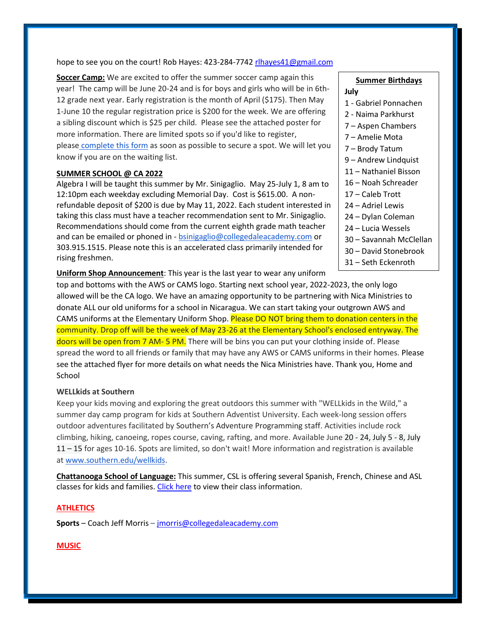hope to see you on the court! Rob Hayes: 423-284-7742 [rlhayes41@gmail.com](mailto:rlhayes41@gmail.com)

**Soccer Camp:** We are excited to offer the summer soccer camp again this year! The camp will be June 20-24 and is for boys and girls who will be in 6th-12 grade next year. Early registration is the month of April (\$175). Then May 1-June 10 the regular registration price is \$200 for the week. We are offering a sibling discount which is \$25 per child. Please see the attached poster for more information. There are limited spots so if you'd like to register, please [complete this form](https://forms.gle/cvV8zJutoMjgpXwMA) as soon as possible to secure a spot. We will let you know if you are on the waiting list.

#### **SUMMER SCHOOL @ CA 2022**

Algebra I will be taught this summer by Mr. Sinigaglio. May 25-July 1, 8 am to 12:10pm each weekday excluding Memorial Day. Cost is \$615.00. A nonrefundable deposit of \$200 is due by May 11, 2022. Each student interested in taking this class must have a teacher recommendation sent to Mr. Sinigaglio. Recommendations should come from the current eighth grade math teacher and can be emailed or phoned in - [bsinigaglio@collegedaleacademy.com](mailto:bsinigaglio@collegedaleacademy.com) or 303.915.1515. Please note this is an accelerated class primarily intended for rising freshmen.

**Uniform Shop Announcement**: This year is the last year to wear any uniform

top and bottoms with the AWS or CAMS logo. Starting next school year, 2022-2023, the only logo allowed will be the CA logo. We have an amazing opportunity to be partnering with Nica Ministries to donate ALL our old uniforms for a school in Nicaragua. We can start taking your outgrown AWS and CAMS uniforms at the Elementary Uniform Shop. Please DO NOT bring them to donation centers in the community. Drop off will be the week of May 23-26 at the Elementary School's enclosed entryway. The doors will be open from 7 AM- 5 PM. There will be bins you can put your clothing inside of. Please spread the word to all friends or family that may have any AWS or CAMS uniforms in their homes. Please see the attached flyer for more details on what needs the Nica Ministries have. Thank you, Home and **School** 

#### **WELLkids at Southern**

Keep your kids moving and exploring the great outdoors this summer with "WELLkids in the Wild," a summer day camp program for kids at Southern Adventist University. Each week-long session offers outdoor adventures facilitated by Southern's Adventure Programming staff. Activities include rock climbing, hiking, canoeing, ropes course, caving, rafting, and more. Available June 20 - 24, July 5 - 8, July 11 – 15 for ages 10-16. Spots are limited, so don't wait! More information and registration is available at [www.southern.edu/wellkids.](http://www.southern.edu/wellkids)

**Chattanooga School of Language:** This summer, CSL is offering several Spanish, French, Chinese and ASL classes for kids and families. [Click here](https://www.chattanoogalanguage.com/kids-classes) to view their class information.

# **ATHLETICS**

**Sports** – Coach Jeff Morris – [jmorris@collegedaleacademy.com](mailto:jmorris@collegedaleacademy.com)

#### **MUSIC**

- **Summer Birthdays July** 1 - Gabriel Ponnachen 2 - Naima Parkhurst 7 – Aspen Chambers 7 – Amelie Mota 7 – Brody Tatum 9 – Andrew Lindquist 11 – Nathaniel Bisson 16 – Noah Schreader 17 – Caleb Trott 24 – Adriel Lewis 24 – Dylan Coleman 24 – Lucia Wessels 30 – Savannah McClellan
- 30 David Stonebrook
- 31 Seth Eckenroth